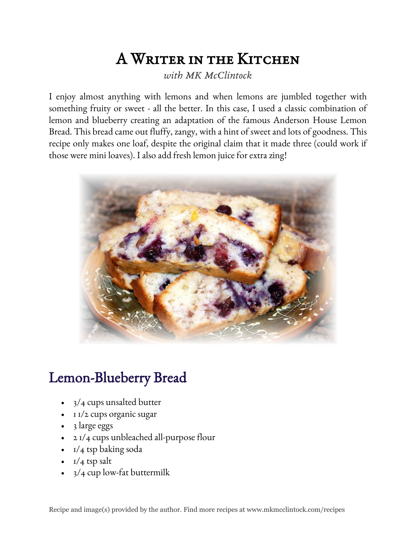## A Writer in the Kitchen

*with MK McClintock*

I enjoy almost anything with lemons and when lemons are jumbled together with something fruity or sweet - all the better. In this case, I used a classic combination of lemon and blueberry creating an adaptation of the famous Anderson House Lemon Bread. This bread came out fluffy, zangy, with a hint of sweet and lots of goodness. This recipe only makes one loaf, despite the original claim that it made three (could work if those were mini loaves). I also add fresh lemon juice for extra zing!



## Lemon-Blueberry Bread

- 3/4 cups unsalted butter
- 1 1/2 cups organic sugar
- 3 large eggs
- 2 1/4 cups unbleached all-purpose flour
- $\bullet$  1/4 tsp baking soda
- $\bullet$  1/4 tsp salt
- 3/4 cup low-fat buttermilk